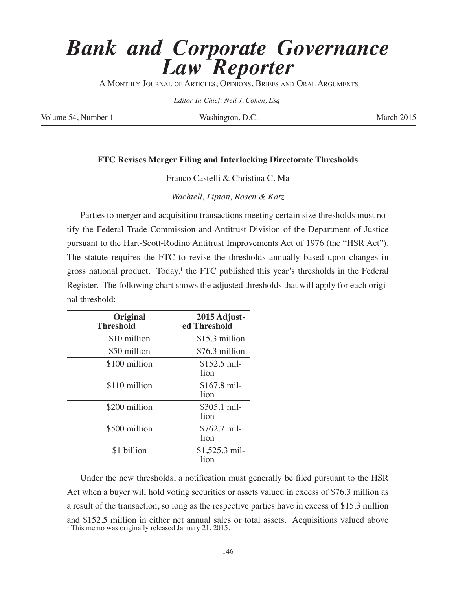## *Bank and Corporate Governance Law Reporter*

A MONTHLY JOURNAL OF ARTICLES, OPINIONS, BRIEFS AND ORAL ARGUMENTS

*Editor-In-Chief: Neil J. Cohen, Esq.* 

Volume 54, Number 1 Washington, D.C. March 2015

## **FTC Revises Merger Filing and Interlocking Directorate Thresholds**

Franco Castelli & Christina C. Ma

*Wachtell, Lipton, Rosen & Katz*

Parties to merger and acquisition transactions meeting certain size thresholds must notify the Federal Trade Commission and Antitrust Division of the Department of Justice pursuant to the Hart-Scott-Rodino Antitrust Improvements Act of 1976 (the "HSR Act"). The statute requires the FTC to revise the thresholds annually based upon changes in gross national product. Today,<sup>1</sup> the FTC published this year's thresholds in the Federal Register. The following chart shows the adjusted thresholds that will apply for each original threshold:

| <b>Original</b><br><b>Threshold</b> | 2015 Adjust-<br>ed Threshold |
|-------------------------------------|------------------------------|
| \$10 million                        | \$15.3 million               |
| \$50 million                        | \$76.3 million               |
| \$100 million                       | $$152.5$ mil-<br>lion        |
| \$110 million                       | $$167.8$ mil-<br>lion        |
| \$200 million                       | \$305.1 mil-<br>lion         |
| \$500 million                       | \$762.7 mil-<br>lion         |
| \$1 billion                         | $$1,525.3$ mil-<br>lion      |

Under the new thresholds, a notification must generally be filed pursuant to the HSR Act when a buyer will hold voting securities or assets valued in excess of \$76.3 million as a result of the transaction, so long as the respective parties have in excess of \$15.3 million and \$152.5 million in either net annual sales or total assets. Acquisitions valued above <sup>1</sup> This memo was originally released January 21, 2015.